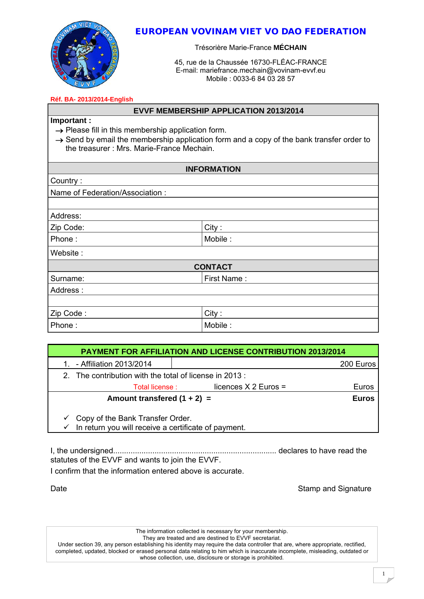

# EUROPEAN VOVINAM VIET VO DAO FEDERATION

Trésorière Marie-France **MÉCHAIN**

45, rue de la Chaussée 16730-FLÉAC-FRANCE E-mail: [mariefrance.mechain@vovinam-evvf.eu](mailto:mariefrance.mechain@vovinam-evvf.eu) Mobile : 0033-6 84 03 28 57

#### **Réf. BA- 2013/2014-English**

### **EVVF MEMBERSHIP APPLICATION 2013/2014**

# **Important :**

 $\rightarrow$  Please fill in this membership application form.

| $\rightarrow$ Send by email the membership application form and a copy of the bank transfer order to |  |  |
|------------------------------------------------------------------------------------------------------|--|--|
| the treasurer: Mrs. Marie-France Mechain.                                                            |  |  |

| <b>INFORMATION</b>              |             |  |  |  |
|---------------------------------|-------------|--|--|--|
| Country:                        |             |  |  |  |
| Name of Federation/Association: |             |  |  |  |
|                                 |             |  |  |  |
| Address:                        |             |  |  |  |
| Zip Code:                       | City:       |  |  |  |
| Phone:                          | Mobile:     |  |  |  |
| Website:                        |             |  |  |  |
| <b>CONTACT</b>                  |             |  |  |  |
| Surname:                        | First Name: |  |  |  |
| Address:                        |             |  |  |  |
|                                 |             |  |  |  |
| Zip Code:                       | City:       |  |  |  |
| Phone:                          | Mobile:     |  |  |  |

| <b>PAYMENT FOR AFFILIATION AND LICENSE CONTRIBUTION 2013/2014</b>                                     |                        |              |  |  |
|-------------------------------------------------------------------------------------------------------|------------------------|--------------|--|--|
| - Affiliation 2013/2014                                                                               |                        | 200 Euros    |  |  |
| 2. The contribution with the total of license in 2013:                                                |                        |              |  |  |
| Total license :                                                                                       | licences $X$ 2 Euros = | Euros        |  |  |
| Amount transfered $(1 + 2) =$                                                                         |                        | <b>Euros</b> |  |  |
| $\checkmark$ Copy of the Bank Transfer Order.<br>In return you will receive a certificate of payment. |                        |              |  |  |

I, the undersigned........................................................................... declares to have read the statutes of the EVVF and wants to join the EVVF.

I confirm that the information entered above is accurate.

Date **Stamp and Signature** Stamp and Signature

The information collected is necessary for your membership. They are treated and are destined to EVVF secretariat.

Under section 39, any person establishing his identity may require the data controller that are, where appropriate, rectified, completed, updated, blocked or erased personal data relating to him which is inaccurate incomplete, misleading, outdated or whose collection, use, disclosure or storage is prohibited.